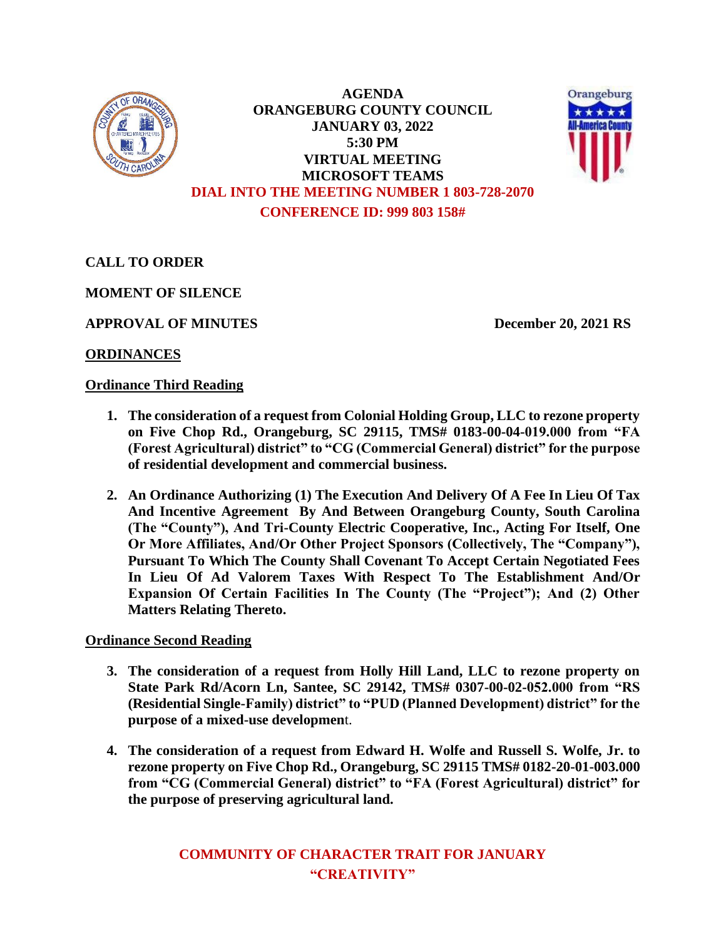

**AGENDA ORANGEBURG COUNTY COUNCIL JANUARY 03, 2022 5:30 PM VIRTUAL MEETING MICROSOFT TEAMS DIAL INTO THE MEETING NUMBER 1 803-728-2070 CONFERENCE ID: 999 803 158#**



**CALL TO ORDER**

**MOMENT OF SILENCE**

**APPROVAL OF MINUTES December 20, 2021 RS**

# **ORDINANCES**

## **Ordinance Third Reading**

- **1. The consideration of a request from Colonial Holding Group, LLC to rezone property on Five Chop Rd., Orangeburg, SC 29115, TMS# 0183-00-04-019.000 from "FA (Forest Agricultural) district" to "CG (Commercial General) district" for the purpose of residential development and commercial business.**
- **2. An Ordinance Authorizing (1) The Execution And Delivery Of A Fee In Lieu Of Tax And Incentive Agreement By And Between Orangeburg County, South Carolina (The "County"), And Tri-County Electric Cooperative, Inc., Acting For Itself, One Or More Affiliates, And/Or Other Project Sponsors (Collectively, The "Company"), Pursuant To Which The County Shall Covenant To Accept Certain Negotiated Fees In Lieu Of Ad Valorem Taxes With Respect To The Establishment And/Or Expansion Of Certain Facilities In The County (The "Project"); And (2) Other Matters Relating Thereto.**

## **Ordinance Second Reading**

- **3. The consideration of a request from Holly Hill Land, LLC to rezone property on State Park Rd/Acorn Ln, Santee, SC 29142, TMS# 0307-00-02-052.000 from "RS (Residential Single-Family) district" to "PUD (Planned Development) district" for the purpose of a mixed-use developmen**t.
- **4. The consideration of a request from Edward H. Wolfe and Russell S. Wolfe, Jr. to rezone property on Five Chop Rd., Orangeburg, SC 29115 TMS# 0182-20-01-003.000 from "CG (Commercial General) district" to "FA (Forest Agricultural) district" for the purpose of preserving agricultural land.**